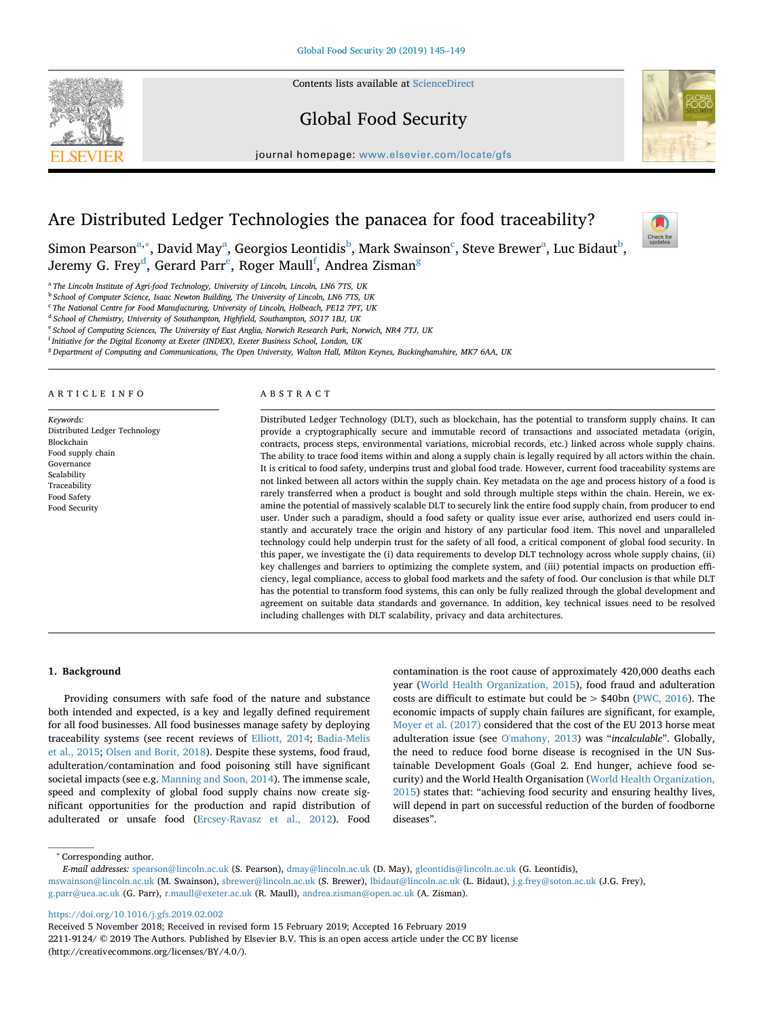Contents lists available at [ScienceDirect](http://www.sciencedirect.com/science/journal/22119124)

## Global Food Security

journal homepage: [www.elsevier.com/locate/gfs](https://www.elsevier.com/locate/gfs)



Check for<br>updates

# Are Distributed Ledger Technologies the panacea for food traceability?

Simon Pe[a](#page-0-0)rson $^{\rm a, *},$  $^{\rm a, *},$  $^{\rm a, *},$  David May $^{\rm a}$ , Georgios Leontidis $^{\rm b}$  $^{\rm b}$  $^{\rm b}$ , Mark Swainson $^{\rm c}$ , Steve Brewer $^{\rm a}$ , Luc Bidaut $^{\rm b}$ , Je[re](#page-0-5)my G. Frey $^{\tt d}$  $^{\tt d}$  $^{\tt d}$ , Gerard Parr $^{\tt e}$ , Roger Maull $^{\tt f}$  $^{\tt f}$  $^{\tt f}$ , Andrea Zisman $^{\tt g}$ 

<span id="page-0-0"></span><sup>a</sup> *The Lincoln Institute of Agri-food Technology, University of Lincoln, Lincoln, LN6 7TS, UK*

<span id="page-0-2"></span><sup>b</sup> *School of Computer Science, Isaac Newton Building, The University of Lincoln, LN6 7TS, UK*

<span id="page-0-3"></span><sup>c</sup> *The National Centre for Food Manufacturing, University of Lincoln, Holbeach, PE12 7PT, UK*

<span id="page-0-4"></span><sup>d</sup> *School of Chemistry, University of Southampton, Highfield, Southampton, SO17 1BJ, UK*

<span id="page-0-5"></span><sup>e</sup> *School of Computing Sciences, The University of East Anglia, Norwich Research Park, Norwich, NR4 7TJ, UK*

<span id="page-0-6"></span>f *Initiative for the Digital Economy at Exeter (INDEX), Exeter Business School, London, UK*

<span id="page-0-7"></span><sup>g</sup> *Department of Computing and Communications, The Open University, Walton Hall, Milton Keynes, Buckinghamshire, MK7 6AA, UK*

#### ARTICLE INFO

*Keywords:* Distributed Ledger Technology Blockchain Food supply chain Governance Scalability Traceability Food Safety Food Security

## ABSTRACT

Distributed Ledger Technology (DLT), such as blockchain, has the potential to transform supply chains. It can provide a cryptographically secure and immutable record of transactions and associated metadata (origin, contracts, process steps, environmental variations, microbial records, etc.) linked across whole supply chains. The ability to trace food items within and along a supply chain is legally required by all actors within the chain. It is critical to food safety, underpins trust and global food trade. However, current food traceability systems are not linked between all actors within the supply chain. Key metadata on the age and process history of a food is rarely transferred when a product is bought and sold through multiple steps within the chain. Herein, we examine the potential of massively scalable DLT to securely link the entire food supply chain, from producer to end user. Under such a paradigm, should a food safety or quality issue ever arise, authorized end users could instantly and accurately trace the origin and history of any particular food item. This novel and unparalleled technology could help underpin trust for the safety of all food, a critical component of global food security. In this paper, we investigate the (i) data requirements to develop DLT technology across whole supply chains, (ii) key challenges and barriers to optimizing the complete system, and (iii) potential impacts on production efficiency, legal compliance, access to global food markets and the safety of food. Our conclusion is that while DLT has the potential to transform food systems, this can only be fully realized through the global development and agreement on suitable data standards and governance. In addition, key technical issues need to be resolved including challenges with DLT scalability, privacy and data architectures.

#### **1. Background**

Providing consumers with safe food of the nature and substance both intended and expected, is a key and legally defined requirement for all food businesses. All food businesses manage safety by deploying traceability systems (see recent reviews of [Elliott, 2014;](#page-4-0) [Badia-Melis](#page-4-1) [et al., 2015;](#page-4-1) [Olsen and Borit, 2018\)](#page-4-2). Despite these systems, food fraud, adulteration/contamination and food poisoning still have significant societal impacts (see e.g. [Manning and Soon, 2014](#page-4-3)). The immense scale, speed and complexity of global food supply chains now create significant opportunities for the production and rapid distribution of adulterated or unsafe food ([Ercsey-Ravasz et al., 2012](#page-4-4)). Food contamination is the root cause of approximately 420,000 deaths each year [\(World Health Organization, 2015\)](#page-4-5), food fraud and adulteration costs are difficult to estimate but could be  $> $40$ bn ([PWC, 2016](#page-4-6)). The economic impacts of supply chain failures are significant, for example, [Moyer et al. \(2017\)](#page-4-7) considered that the cost of the EU 2013 horse meat adulteration issue (see [O'mahony, 2013](#page-4-8)) was "*incalculable*". Globally, the need to reduce food borne disease is recognised in the UN Sustainable Development Goals (Goal 2. End hunger, achieve food security) and the World Health Organisation [\(World Health Organization,](#page-4-5) [2015\)](#page-4-5) states that: "achieving food security and ensuring healthy lives, will depend in part on successful reduction of the burden of foodborne diseases".

<span id="page-0-1"></span><sup>∗</sup> Corresponding author.

*E-mail addresses:* [spearson@lincoln.ac.uk](mailto:spearson@lincoln.ac.uk) (S. Pearson), [dmay@lincoln.ac.uk](mailto:dmay@lincoln.ac.uk) (D. May), [gleontidis@lincoln.ac.uk](mailto:gleontidis@lincoln.ac.uk) (G. Leontidis), [mswainson@lincoln.ac.uk](mailto:mswainson@lincoln.ac.uk) (M. Swainson), [sbrewer@lincoln.ac.uk](mailto:sbrewer@lincoln.ac.uk) (S. Brewer), [lbidaut@lincoln.ac.uk](mailto:lbidaut@lincoln.ac.uk) (L. Bidaut), [j.g.frey@soton.ac.uk](mailto:j.g.frey@soton.ac.uk) (J.G. Frey), [g.parr@uea.ac.uk](mailto:g.parr@uea.ac.uk) (G. Parr), [r.maull@exeter.ac.uk](mailto:r.maull@exeter.ac.uk) (R. Maull), [andrea.zisman@open.ac.uk](mailto:andrea.zisman@open.ac.uk) (A. Zisman).

<https://doi.org/10.1016/j.gfs.2019.02.002>

Received 5 November 2018; Received in revised form 15 February 2019; Accepted 16 February 2019 2211-9124/ © 2019 The Authors. Published by Elsevier B.V. This is an open access article under the CC BY license (http://creativecommons.org/licenses/BY/4.0/).

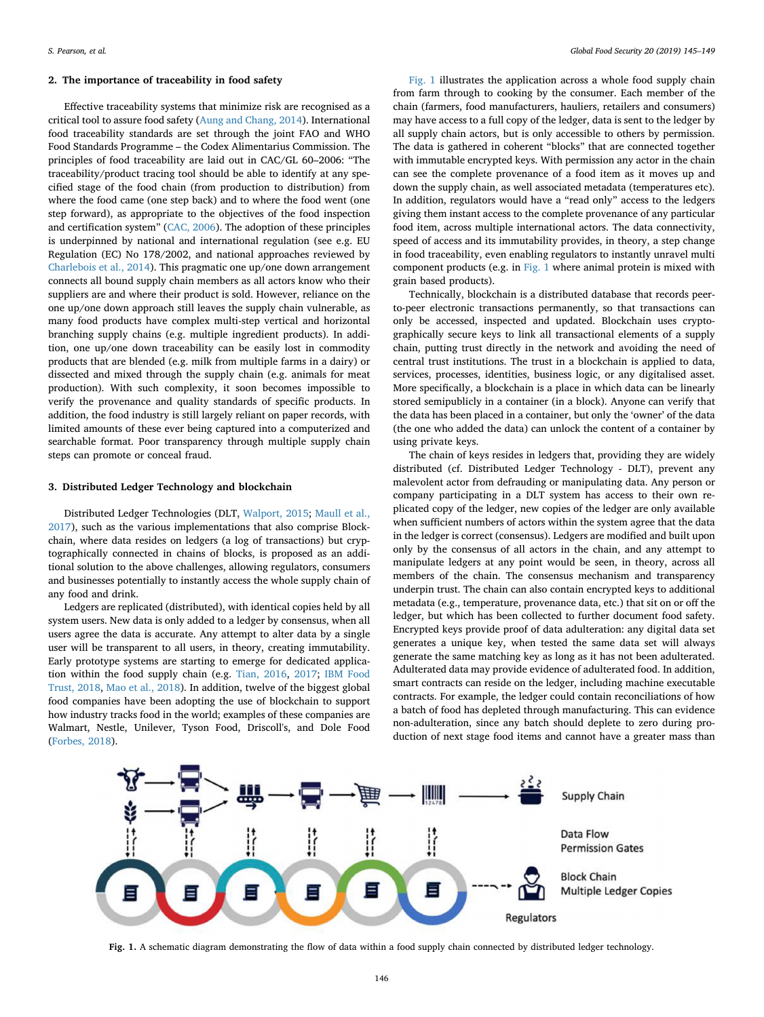## **2. The importance of traceability in food safety**

Effective traceability systems that minimize risk are recognised as a critical tool to assure food safety ([Aung and Chang, 2014\)](#page-4-9). International food traceability standards are set through the joint FAO and WHO Food Standards Programme – the Codex Alimentarius Commission. The principles of food traceability are laid out in CAC/GL 60–2006: "The traceability/product tracing tool should be able to identify at any specified stage of the food chain (from production to distribution) from where the food came (one step back) and to where the food went (one step forward), as appropriate to the objectives of the food inspection and certification system" [\(CAC, 2006](#page-4-10)). The adoption of these principles is underpinned by national and international regulation (see e.g. EU Regulation (EC) No 178/2002, and national approaches reviewed by [Charlebois et al., 2014\)](#page-4-11). This pragmatic one up/one down arrangement connects all bound supply chain members as all actors know who their suppliers are and where their product is sold. However, reliance on the one up/one down approach still leaves the supply chain vulnerable, as many food products have complex multi-step vertical and horizontal branching supply chains (e.g. multiple ingredient products). In addition, one up/one down traceability can be easily lost in commodity products that are blended (e.g. milk from multiple farms in a dairy) or dissected and mixed through the supply chain (e.g. animals for meat production). With such complexity, it soon becomes impossible to verify the provenance and quality standards of specific products. In addition, the food industry is still largely reliant on paper records, with limited amounts of these ever being captured into a computerized and searchable format. Poor transparency through multiple supply chain steps can promote or conceal fraud.

#### **3. Distributed Ledger Technology and blockchain**

Distributed Ledger Technologies (DLT, [Walport, 2015;](#page-4-12) [Maull et al.,](#page-4-13) [2017\)](#page-4-13), such as the various implementations that also comprise Blockchain, where data resides on ledgers (a log of transactions) but cryptographically connected in chains of blocks, is proposed as an additional solution to the above challenges, allowing regulators, consumers and businesses potentially to instantly access the whole supply chain of any food and drink.

Ledgers are replicated (distributed), with identical copies held by all system users. New data is only added to a ledger by consensus, when all users agree the data is accurate. Any attempt to alter data by a single user will be transparent to all users, in theory, creating immutability. Early prototype systems are starting to emerge for dedicated application within the food supply chain (e.g. [Tian, 2016,](#page-4-14) [2017](#page-4-15); [IBM Food](#page-4-16) [Trust, 2018](#page-4-16), [Mao et al., 2018](#page-4-17)). In addition, twelve of the biggest global food companies have been adopting the use of blockchain to support how industry tracks food in the world; examples of these companies are Walmart, Nestle, Unilever, Tyson Food, Driscoll's, and Dole Food ([Forbes, 2018\)](#page-4-18).

[Fig. 1](#page-1-0) illustrates the application across a whole food supply chain from farm through to cooking by the consumer. Each member of the chain (farmers, food manufacturers, hauliers, retailers and consumers) may have access to a full copy of the ledger, data is sent to the ledger by all supply chain actors, but is only accessible to others by permission. The data is gathered in coherent "blocks" that are connected together with immutable encrypted keys. With permission any actor in the chain can see the complete provenance of a food item as it moves up and down the supply chain, as well associated metadata (temperatures etc). In addition, regulators would have a "read only" access to the ledgers giving them instant access to the complete provenance of any particular food item, across multiple international actors. The data connectivity, speed of access and its immutability provides, in theory, a step change in food traceability, even enabling regulators to instantly unravel multi component products (e.g. in [Fig. 1](#page-1-0) where animal protein is mixed with grain based products).

Technically, blockchain is a distributed database that records peerto-peer electronic transactions permanently, so that transactions can only be accessed, inspected and updated. Blockchain uses cryptographically secure keys to link all transactional elements of a supply chain, putting trust directly in the network and avoiding the need of central trust institutions. The trust in a blockchain is applied to data, services, processes, identities, business logic, or any digitalised asset. More specifically, a blockchain is a place in which data can be linearly stored semipublicly in a container (in a block). Anyone can verify that the data has been placed in a container, but only the 'owner' of the data (the one who added the data) can unlock the content of a container by using private keys.

The chain of keys resides in ledgers that, providing they are widely distributed (cf. Distributed Ledger Technology - DLT), prevent any malevolent actor from defrauding or manipulating data. Any person or company participating in a DLT system has access to their own replicated copy of the ledger, new copies of the ledger are only available when sufficient numbers of actors within the system agree that the data in the ledger is correct (consensus). Ledgers are modified and built upon only by the consensus of all actors in the chain, and any attempt to manipulate ledgers at any point would be seen, in theory, across all members of the chain. The consensus mechanism and transparency underpin trust. The chain can also contain encrypted keys to additional metadata (e.g., temperature, provenance data, etc.) that sit on or off the ledger, but which has been collected to further document food safety. Encrypted keys provide proof of data adulteration: any digital data set generates a unique key, when tested the same data set will always generate the same matching key as long as it has not been adulterated. Adulterated data may provide evidence of adulterated food. In addition, smart contracts can reside on the ledger, including machine executable contracts. For example, the ledger could contain reconciliations of how a batch of food has depleted through manufacturing. This can evidence non-adulteration, since any batch should deplete to zero during production of next stage food items and cannot have a greater mass than

<span id="page-1-0"></span>

**Fig. 1.** A schematic diagram demonstrating the flow of data within a food supply chain connected by distributed ledger technology.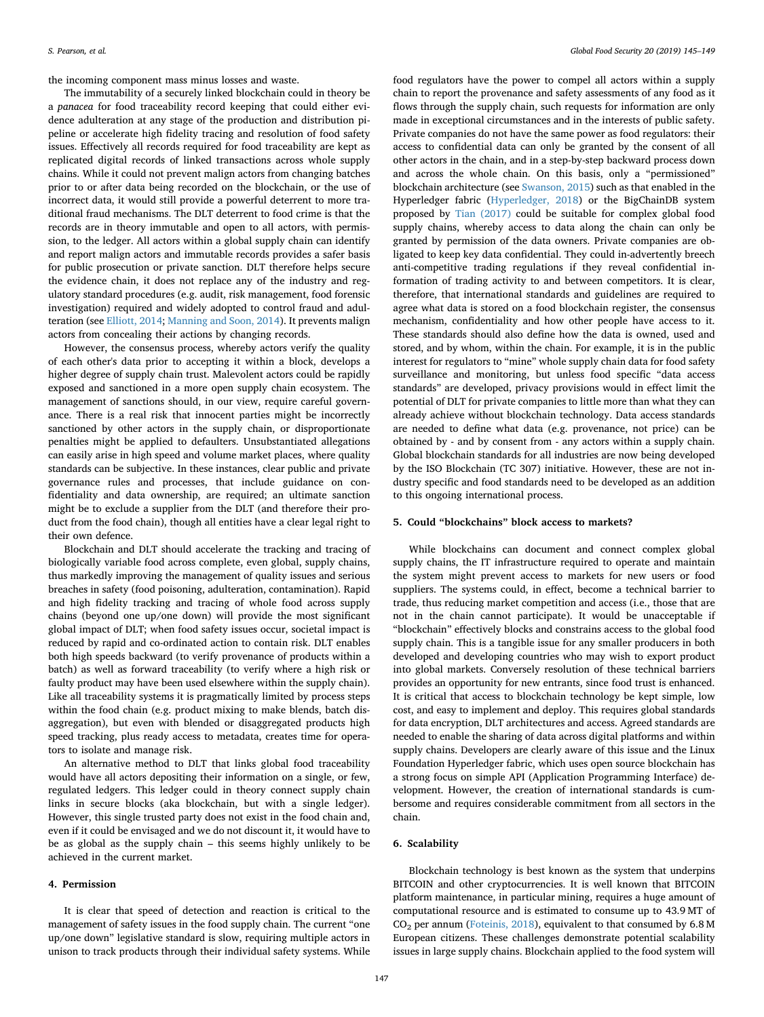the incoming component mass minus losses and waste.

The immutability of a securely linked blockchain could in theory be a *panacea* for food traceability record keeping that could either evidence adulteration at any stage of the production and distribution pipeline or accelerate high fidelity tracing and resolution of food safety issues. Effectively all records required for food traceability are kept as replicated digital records of linked transactions across whole supply chains. While it could not prevent malign actors from changing batches prior to or after data being recorded on the blockchain, or the use of incorrect data, it would still provide a powerful deterrent to more traditional fraud mechanisms. The DLT deterrent to food crime is that the records are in theory immutable and open to all actors, with permission, to the ledger. All actors within a global supply chain can identify and report malign actors and immutable records provides a safer basis for public prosecution or private sanction. DLT therefore helps secure the evidence chain, it does not replace any of the industry and regulatory standard procedures (e.g. audit, risk management, food forensic investigation) required and widely adopted to control fraud and adulteration (see [Elliott, 2014;](#page-4-0) [Manning and Soon, 2014](#page-4-3)). It prevents malign actors from concealing their actions by changing records.

However, the consensus process, whereby actors verify the quality of each other's data prior to accepting it within a block, develops a higher degree of supply chain trust. Malevolent actors could be rapidly exposed and sanctioned in a more open supply chain ecosystem. The management of sanctions should, in our view, require careful governance. There is a real risk that innocent parties might be incorrectly sanctioned by other actors in the supply chain, or disproportionate penalties might be applied to defaulters. Unsubstantiated allegations can easily arise in high speed and volume market places, where quality standards can be subjective. In these instances, clear public and private governance rules and processes, that include guidance on confidentiality and data ownership, are required; an ultimate sanction might be to exclude a supplier from the DLT (and therefore their product from the food chain), though all entities have a clear legal right to their own defence.

Blockchain and DLT should accelerate the tracking and tracing of biologically variable food across complete, even global, supply chains, thus markedly improving the management of quality issues and serious breaches in safety (food poisoning, adulteration, contamination). Rapid and high fidelity tracking and tracing of whole food across supply chains (beyond one up/one down) will provide the most significant global impact of DLT; when food safety issues occur, societal impact is reduced by rapid and co-ordinated action to contain risk. DLT enables both high speeds backward (to verify provenance of products within a batch) as well as forward traceability (to verify where a high risk or faulty product may have been used elsewhere within the supply chain). Like all traceability systems it is pragmatically limited by process steps within the food chain (e.g. product mixing to make blends, batch disaggregation), but even with blended or disaggregated products high speed tracking, plus ready access to metadata, creates time for operators to isolate and manage risk.

An alternative method to DLT that links global food traceability would have all actors depositing their information on a single, or few, regulated ledgers. This ledger could in theory connect supply chain links in secure blocks (aka blockchain, but with a single ledger). However, this single trusted party does not exist in the food chain and, even if it could be envisaged and we do not discount it, it would have to be as global as the supply chain – this seems highly unlikely to be achieved in the current market.

#### **4. Permission**

It is clear that speed of detection and reaction is critical to the management of safety issues in the food supply chain. The current "one up/one down" legislative standard is slow, requiring multiple actors in unison to track products through their individual safety systems. While

food regulators have the power to compel all actors within a supply chain to report the provenance and safety assessments of any food as it flows through the supply chain, such requests for information are only made in exceptional circumstances and in the interests of public safety. Private companies do not have the same power as food regulators: their access to confidential data can only be granted by the consent of all other actors in the chain, and in a step-by-step backward process down and across the whole chain. On this basis, only a "permissioned" blockchain architecture (see [Swanson, 2015](#page-4-19)) such as that enabled in the Hyperledger fabric ([Hyperledger, 2018](#page-4-20)) or the BigChainDB system proposed by [Tian \(2017\)](#page-4-15) could be suitable for complex global food supply chains, whereby access to data along the chain can only be granted by permission of the data owners. Private companies are obligated to keep key data confidential. They could in-advertently breech anti-competitive trading regulations if they reveal confidential information of trading activity to and between competitors. It is clear, therefore, that international standards and guidelines are required to agree what data is stored on a food blockchain register, the consensus mechanism, confidentiality and how other people have access to it. These standards should also define how the data is owned, used and stored, and by whom, within the chain. For example, it is in the public interest for regulators to "mine" whole supply chain data for food safety surveillance and monitoring, but unless food specific "data access standards" are developed, privacy provisions would in effect limit the potential of DLT for private companies to little more than what they can already achieve without blockchain technology. Data access standards are needed to define what data (e.g. provenance, not price) can be obtained by - and by consent from - any actors within a supply chain. Global blockchain standards for all industries are now being developed by the ISO Blockchain (TC 307) initiative. However, these are not industry specific and food standards need to be developed as an addition to this ongoing international process.

## **5. Could "blockchains" block access to markets?**

While blockchains can document and connect complex global supply chains, the IT infrastructure required to operate and maintain the system might prevent access to markets for new users or food suppliers. The systems could, in effect, become a technical barrier to trade, thus reducing market competition and access (i.e., those that are not in the chain cannot participate). It would be unacceptable if "blockchain" effectively blocks and constrains access to the global food supply chain. This is a tangible issue for any smaller producers in both developed and developing countries who may wish to export product into global markets. Conversely resolution of these technical barriers provides an opportunity for new entrants, since food trust is enhanced. It is critical that access to blockchain technology be kept simple, low cost, and easy to implement and deploy. This requires global standards for data encryption, DLT architectures and access. Agreed standards are needed to enable the sharing of data across digital platforms and within supply chains. Developers are clearly aware of this issue and the Linux Foundation Hyperledger fabric, which uses open source blockchain has a strong focus on simple API (Application Programming Interface) development. However, the creation of international standards is cumbersome and requires considerable commitment from all sectors in the chain.

## **6. Scalability**

Blockchain technology is best known as the system that underpins BITCOIN and other cryptocurrencies. It is well known that BITCOIN platform maintenance, in particular mining, requires a huge amount of computational resource and is estimated to consume up to 43.9 MT of  $CO<sub>2</sub>$  per annum ([Foteinis, 2018\)](#page-4-21), equivalent to that consumed by 6.8 M European citizens. These challenges demonstrate potential scalability issues in large supply chains. Blockchain applied to the food system will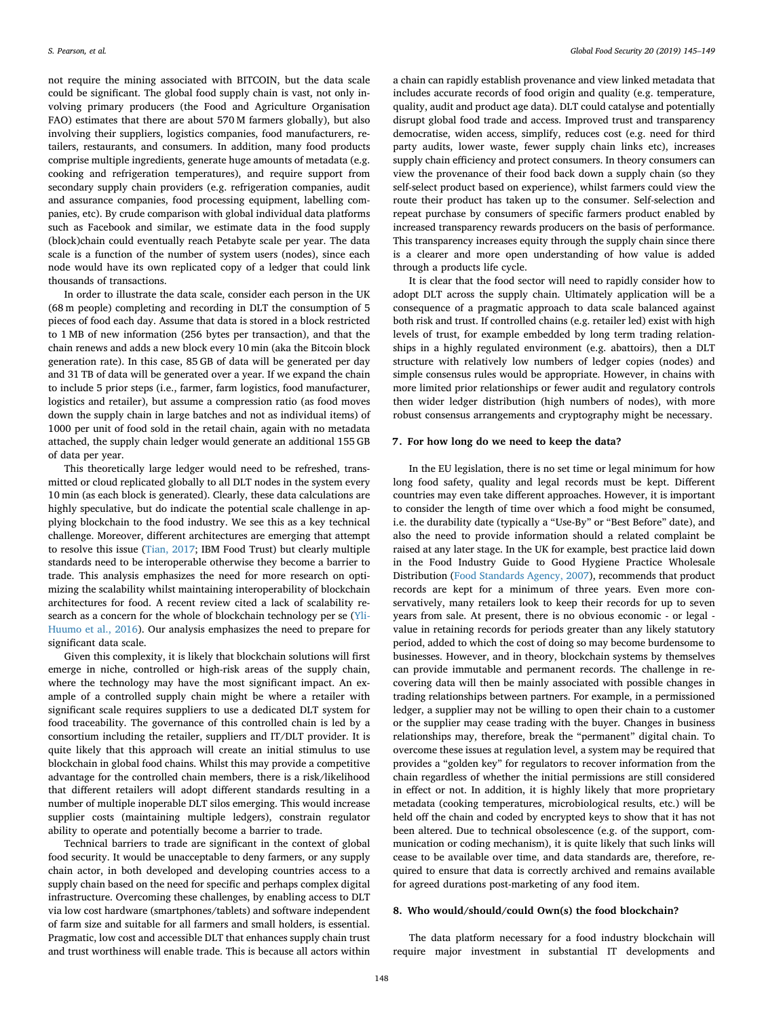not require the mining associated with BITCOIN, but the data scale could be significant. The global food supply chain is vast, not only involving primary producers (the Food and Agriculture Organisation FAO) estimates that there are about 570 M farmers globally), but also involving their suppliers, logistics companies, food manufacturers, retailers, restaurants, and consumers. In addition, many food products comprise multiple ingredients, generate huge amounts of metadata (e.g. cooking and refrigeration temperatures), and require support from secondary supply chain providers (e.g. refrigeration companies, audit and assurance companies, food processing equipment, labelling companies, etc). By crude comparison with global individual data platforms such as Facebook and similar, we estimate data in the food supply (block)chain could eventually reach Petabyte scale per year. The data scale is a function of the number of system users (nodes), since each node would have its own replicated copy of a ledger that could link thousands of transactions.

In order to illustrate the data scale, consider each person in the UK (68 m people) completing and recording in DLT the consumption of 5 pieces of food each day. Assume that data is stored in a block restricted to 1 MB of new information (256 bytes per transaction), and that the chain renews and adds a new block every 10 min (aka the Bitcoin block generation rate). In this case, 85 GB of data will be generated per day and 31 TB of data will be generated over a year. If we expand the chain to include 5 prior steps (i.e., farmer, farm logistics, food manufacturer, logistics and retailer), but assume a compression ratio (as food moves down the supply chain in large batches and not as individual items) of 1000 per unit of food sold in the retail chain, again with no metadata attached, the supply chain ledger would generate an additional 155 GB of data per year.

This theoretically large ledger would need to be refreshed, transmitted or cloud replicated globally to all DLT nodes in the system every 10 min (as each block is generated). Clearly, these data calculations are highly speculative, but do indicate the potential scale challenge in applying blockchain to the food industry. We see this as a key technical challenge. Moreover, different architectures are emerging that attempt to resolve this issue [\(Tian, 2017](#page-4-15); IBM Food Trust) but clearly multiple standards need to be interoperable otherwise they become a barrier to trade. This analysis emphasizes the need for more research on optimizing the scalability whilst maintaining interoperability of blockchain architectures for food. A recent review cited a lack of scalability research as a concern for the whole of blockchain technology per se [\(Yli-](#page-4-22)[Huumo et al., 2016](#page-4-22)). Our analysis emphasizes the need to prepare for significant data scale.

Given this complexity, it is likely that blockchain solutions will first emerge in niche, controlled or high-risk areas of the supply chain, where the technology may have the most significant impact. An example of a controlled supply chain might be where a retailer with significant scale requires suppliers to use a dedicated DLT system for food traceability. The governance of this controlled chain is led by a consortium including the retailer, suppliers and IT/DLT provider. It is quite likely that this approach will create an initial stimulus to use blockchain in global food chains. Whilst this may provide a competitive advantage for the controlled chain members, there is a risk/likelihood that different retailers will adopt different standards resulting in a number of multiple inoperable DLT silos emerging. This would increase supplier costs (maintaining multiple ledgers), constrain regulator ability to operate and potentially become a barrier to trade.

Technical barriers to trade are significant in the context of global food security. It would be unacceptable to deny farmers, or any supply chain actor, in both developed and developing countries access to a supply chain based on the need for specific and perhaps complex digital infrastructure. Overcoming these challenges, by enabling access to DLT via low cost hardware (smartphones/tablets) and software independent of farm size and suitable for all farmers and small holders, is essential. Pragmatic, low cost and accessible DLT that enhances supply chain trust and trust worthiness will enable trade. This is because all actors within

a chain can rapidly establish provenance and view linked metadata that includes accurate records of food origin and quality (e.g. temperature, quality, audit and product age data). DLT could catalyse and potentially disrupt global food trade and access. Improved trust and transparency democratise, widen access, simplify, reduces cost (e.g. need for third party audits, lower waste, fewer supply chain links etc), increases supply chain efficiency and protect consumers. In theory consumers can view the provenance of their food back down a supply chain (so they self-select product based on experience), whilst farmers could view the route their product has taken up to the consumer. Self-selection and repeat purchase by consumers of specific farmers product enabled by increased transparency rewards producers on the basis of performance. This transparency increases equity through the supply chain since there is a clearer and more open understanding of how value is added through a products life cycle.

It is clear that the food sector will need to rapidly consider how to adopt DLT across the supply chain. Ultimately application will be a consequence of a pragmatic approach to data scale balanced against both risk and trust. If controlled chains (e.g. retailer led) exist with high levels of trust, for example embedded by long term trading relationships in a highly regulated environment (e.g. abattoirs), then a DLT structure with relatively low numbers of ledger copies (nodes) and simple consensus rules would be appropriate. However, in chains with more limited prior relationships or fewer audit and regulatory controls then wider ledger distribution (high numbers of nodes), with more robust consensus arrangements and cryptography might be necessary.

#### **7. For how long do we need to keep the data?**

In the EU legislation, there is no set time or legal minimum for how long food safety, quality and legal records must be kept. Different countries may even take different approaches. However, it is important to consider the length of time over which a food might be consumed, i.e. the durability date (typically a "Use-By" or "Best Before" date), and also the need to provide information should a related complaint be raised at any later stage. In the UK for example, best practice laid down in the Food Industry Guide to Good Hygiene Practice Wholesale Distribution [\(Food Standards Agency, 2007](#page-4-23)), recommends that product records are kept for a minimum of three years. Even more conservatively, many retailers look to keep their records for up to seven years from sale. At present, there is no obvious economic - or legal value in retaining records for periods greater than any likely statutory period, added to which the cost of doing so may become burdensome to businesses. However, and in theory, blockchain systems by themselves can provide immutable and permanent records. The challenge in recovering data will then be mainly associated with possible changes in trading relationships between partners. For example, in a permissioned ledger, a supplier may not be willing to open their chain to a customer or the supplier may cease trading with the buyer. Changes in business relationships may, therefore, break the "permanent" digital chain. To overcome these issues at regulation level, a system may be required that provides a "golden key" for regulators to recover information from the chain regardless of whether the initial permissions are still considered in effect or not. In addition, it is highly likely that more proprietary metadata (cooking temperatures, microbiological results, etc.) will be held off the chain and coded by encrypted keys to show that it has not been altered. Due to technical obsolescence (e.g. of the support, communication or coding mechanism), it is quite likely that such links will cease to be available over time, and data standards are, therefore, required to ensure that data is correctly archived and remains available for agreed durations post-marketing of any food item.

#### **8. Who would/should/could Own(s) the food blockchain?**

The data platform necessary for a food industry blockchain will require major investment in substantial IT developments and